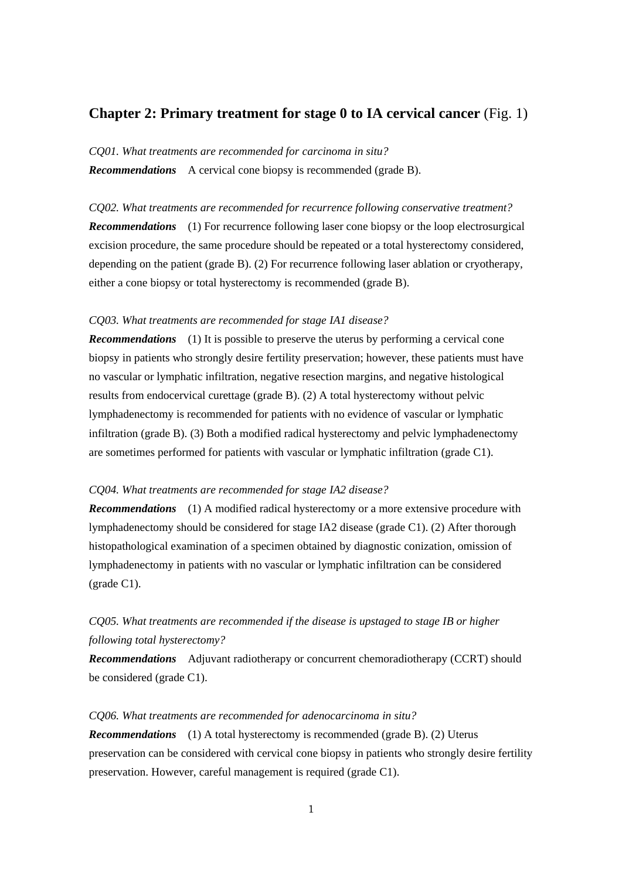## **Chapter 2: Primary treatment for stage 0 to IA cervical cancer** (Fig. 1)

*CQ01. What treatments are recommended for carcinoma in situ? Recommendations* A cervical cone biopsy is recommended (grade B).

*CQ02. What treatments are recommended for recurrence following conservative treatment? Recommendations* (1) For recurrence following laser cone biopsy or the loop electrosurgical excision procedure, the same procedure should be repeated or a total hysterectomy considered, depending on the patient (grade B). (2) For recurrence following laser ablation or cryotherapy, either a cone biopsy or total hysterectomy is recommended (grade B).

#### *CQ03. What treatments are recommended for stage IA1 disease?*

*Recommendations* (1) It is possible to preserve the uterus by performing a cervical cone biopsy in patients who strongly desire fertility preservation; however, these patients must have no vascular or lymphatic infiltration, negative resection margins, and negative histological results from endocervical curettage (grade B). (2) A total hysterectomy without pelvic lymphadenectomy is recommended for patients with no evidence of vascular or lymphatic infiltration (grade B). (3) Both a modified radical hysterectomy and pelvic lymphadenectomy are sometimes performed for patients with vascular or lymphatic infiltration (grade C1).

#### *CQ04. What treatments are recommended for stage IA2 disease?*

*Recommendations* (1) A modified radical hysterectomy or a more extensive procedure with lymphadenectomy should be considered for stage IA2 disease (grade C1). (2) After thorough histopathological examination of a specimen obtained by diagnostic conization, omission of lymphadenectomy in patients with no vascular or lymphatic infiltration can be considered (grade C1).

# *CQ05. What treatments are recommended if the disease is upstaged to stage IB or higher following total hysterectomy?*

*Recommendations* Adjuvant radiotherapy or concurrent chemoradiotherapy (CCRT) should be considered (grade C1).

# *CQ06. What treatments are recommended for adenocarcinoma in situ? Recommendations* (1) A total hysterectomy is recommended (grade B). (2) Uterus preservation can be considered with cervical cone biopsy in patients who strongly desire fertility preservation. However, careful management is required (grade C1).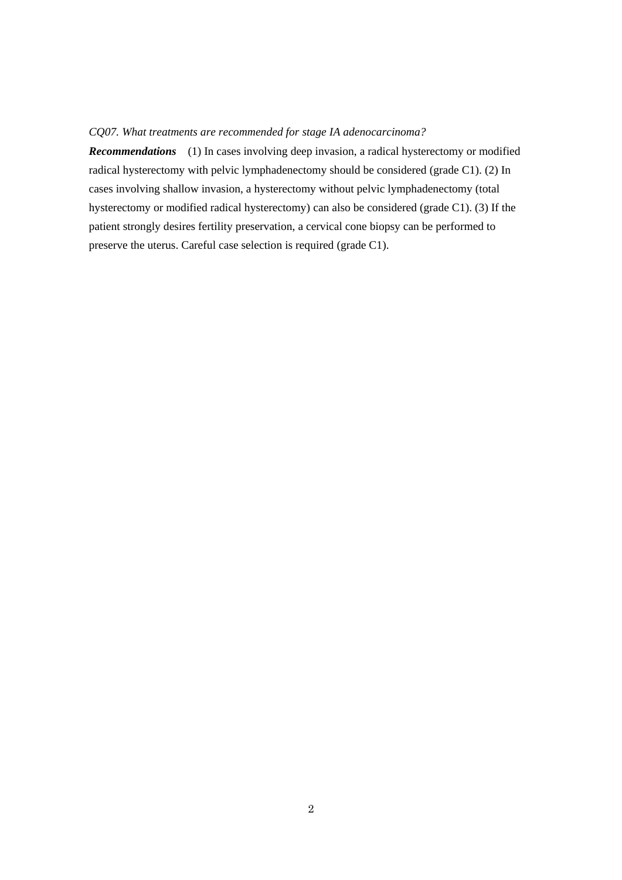### *CQ07. What treatments are recommended for stage IA adenocarcinoma?*

*Recommendations* (1) In cases involving deep invasion, a radical hysterectomy or modified radical hysterectomy with pelvic lymphadenectomy should be considered (grade C1). (2) In cases involving shallow invasion, a hysterectomy without pelvic lymphadenectomy (total hysterectomy or modified radical hysterectomy) can also be considered (grade C1). (3) If the patient strongly desires fertility preservation, a cervical cone biopsy can be performed to preserve the uterus. Careful case selection is required (grade C1).